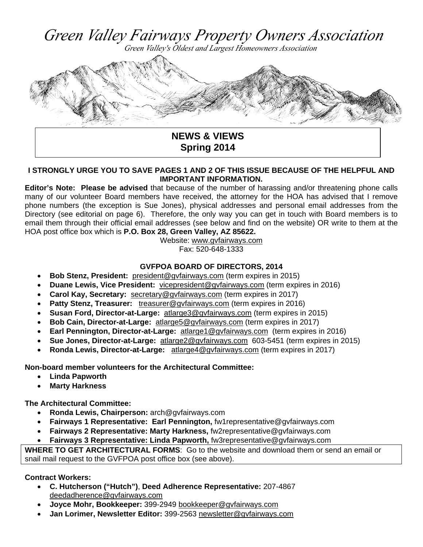Green Valley Fairways Property Owners Association



# **NEWS & VIEWS Spring 2014**

#### **I STRONGLY URGE YOU TO SAVE PAGES 1 AND 2 OF THIS ISSUE BECAUSE OF THE HELPFUL AND IMPORTANT INFORMATION.**

**Editor's Note: Please be advised** that because of the number of harassing and/or threatening phone calls many of our volunteer Board members have received, the attorney for the HOA has advised that I remove phone numbers (the exception is Sue Jones), physical addresses and personal email addresses from the Directory (see editorial on page 6). Therefore, the only way you can get in touch with Board members is to email them through their official email addresses (see below and find on the website) OR write to them at the HOA post office box which is **P.O. Box 28, Green Valley, AZ 85622.** 

Website: www.gvfairways.com Fax: 520-648-1333

### **GVFPOA BOARD OF DIRECTORS, 2014**

- **Bob Stenz, President:** president@gvfairways.com (term expires in 2015)
- **Duane Lewis, Vice President:** vicepresident@gvfairways.com (term expires in 2016)
- **Carol Kay, Secretary:** secretary@gvfairways.com (term expires in 2017)
- **Patty Stenz, Treasurer:** treasurer@gvfairways.com (term expires in 2016)
- **Susan Ford, Director-at-Large:** atlarge3@gvfairways.com (term expires in 2015)
- **Bob Cain, Director-at-Large:** atlarge5@gvfairways.com (term expires in 2017)
- **Earl Pennington, Director-at-Large:** atlarge1@gvfairways.com (term expires in 2016)
- **Sue Jones, Director-at-Large:** atlarge2@gvfairways.com 603-5451 (term expires in 2015)
- **Ronda Lewis, Director-at-Large:** atlarge4@gvfairways.com (term expires in 2017)

**Non-board member volunteers for the Architectural Committee:** 

- **Linda Papworth**
- **Marty Harkness**

**The Architectural Committee:** 

- **Ronda Lewis, Chairperson:** arch@gvfairways.com
- **Fairways 1 Representative: Earl Pennington,** fw1representative@gvfairways.com
- **Fairways 2 Representative: Marty Harkness,** fw2representative@gvfairways.com
- **Fairways 3 Representative: Linda Papworth,** fw3representative@gvfairways.com

**WHERE TO GET ARCHITECTURAL FORMS**: Go to the website and download them or send an email or snail mail request to the GVFPOA post office box (see above).

**Contract Workers:** 

- **C. Hutcherson ("Hutch")**, **Deed Adherence Representative:** 207-4867 deedadherence@gvfairways.com
- **Joyce Mohr, Bookkeeper:** 399-2949 bookkeeper@gvfairways.com
- **Jan Lorimer, Newsletter Editor:** 399-2563 newsletter@gvfairways.com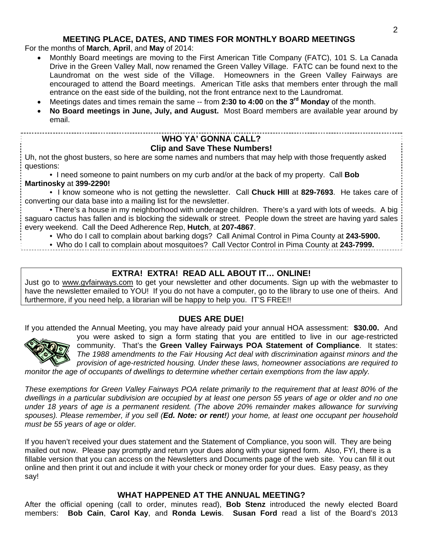#### **MEETING PLACE, DATES, AND TIMES FOR MONTHLY BOARD MEETINGS**

For the months of **March**, **April**, and **May** of 2014:

- Monthly Board meetings are moving to the First American Title Company (FATC), 101 S. La Canada Drive in the Green Valley Mall, now renamed the Green Valley Village. FATC can be found next to the Laundromat on the west side of the Village. Homeowners in the Green Valley Fairways are encouraged to attend the Board meetings. American Title asks that members enter through the mall entrance on the east side of the building, not the front entrance next to the Laundromat.
- Meetings dates and times remain the same -- from **2:30 to 4:00** on **the 3rd Monday** of the month.
- **No Board meetings in June, July, and August.** Most Board members are available year around by email.

#### **WHO YA' GONNA CALL? Clip and Save These Numbers!**

Uh, not the ghost busters, so here are some names and numbers that may help with those frequently asked questions:

• I need someone to paint numbers on my curb and/or at the back of my property. Call **Bob Martinosky** at **399-2290!**

• I know someone who is not getting the newsletter. Call **Chuck HIll** at **829-7693**. He takes care of converting our data base into a mailing list for the newsletter.

• There's a house in my neighborhood with underage children. There's a yard with lots of weeds. A big saguaro cactus has fallen and is blocking the sidewalk or street. People down the street are having yard sales every weekend. Call the Deed Adherence Rep, **Hutch**, at **207-4867**.

- Who do I call to complain about barking dogs? Call Animal Control in Pima County at **243-5900.**
- Who do I call to complain about mosquitoes? Call Vector Control in Pima County at **243-7999.**

#### **EXTRA! EXTRA! READ ALL ABOUT IT… ONLINE!**

Just go to www.gvfairways.com to get your newsletter and other documents. Sign up with the webmaster to have the newsletter emailed to YOU! If you do not have a computer, go to the library to use one of theirs. And furthermore, if you need help, a librarian will be happy to help you. IT'S FREE!!

#### **DUES ARE DUE!**

If you attended the Annual Meeting, you may have already paid your annual HOA assessment: **\$30.00.** And



you were asked to sign a form stating that you are entitled to live in our age-restricted community. That's the **Green Valley Fairways POA Statement of Compliance**. It states: *The 1988 amendments to the Fair Housing Act deal with discrimination against minors and the provision of age-restricted housing. Under these laws, homeowner associations are required to monitor the age of occupants of dwellings to determine whether certain exemptions from the law apply.* 

*These exemptions for Green Valley Fairways POA relate primarily to the requirement that at least 80% of the dwellings in a particular subdivision are occupied by at least one person 55 years of age or older and no one under 18 years of age is a permanent resident. (The above 20% remainder makes allowance for surviving spouses). Please remember, if you sell (Ed. Note: or rent!) your home, at least one occupant per household must be 55 years of age or older.* 

If you haven't received your dues statement and the Statement of Compliance, you soon will. They are being mailed out now. Please pay promptly and return your dues along with your signed form. Also, FYI, there is a fillable version that you can access on the Newsletters and Documents page of the web site. You can fill it out online and then print it out and include it with your check or money order for your dues. Easy peasy, as they say!

#### **WHAT HAPPENED AT THE ANNUAL MEETING?**

After the official opening (call to order, minutes read), **Bob Stenz** introduced the newly elected Board members: **Bob Cain**, **Carol Kay**, and **Ronda Lewis**. **Susan Ford** read a list of the Board's 2013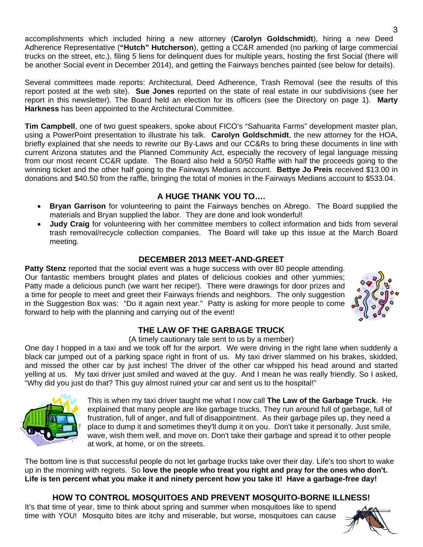accomplishments which included hiring a new attorney (**Carolyn Goldschmidt**), hiring a new Deed Adherence Representative (**"Hutch" Hutcherson**), getting a CC&R amended (no parking of large commercial trucks on the street, etc.), filing 5 liens for delinquent dues for multiple years, hosting the first Social (there will be another Social event in December 2014), and getting the Fairways benches painted (see below for details).

Several committees made reports: Architectural, Deed Adherence, Trash Removal (see the results of this report posted at the web site). **Sue Jones** reported on the state of real estate in our subdivisions (see her report in this newsletter). The Board held an election for its officers (see the Directory on page 1). **Marty Harkness** has been appointed to the Architectural Committee.

**Tim Campbell**, one of two guest speakers, spoke about FICO's "Sahuarita Farms" development master plan, using a PowerPoint presentation to illustrate his talk. **Carolyn Goldschmidt**, the new attorney for the HOA, briefly explained that she needs to rewrite our By-Laws and our CC&Rs to bring these documents in line with current Arizona statutes and the Planned Community Act, especially the recovery of legal language missing from our most recent CC&R update. The Board also held a 50/50 Raffle with half the proceeds going to the winning ticket and the other half going to the Fairways Medians account. **Bettye Jo Preis** received \$13.00 in donations and \$40.50 from the raffle, bringing the total of monies in the Fairways Medians account to \$533.04.

## **A HUGE THANK YOU TO….**

- **Bryan Garrison** for volunteering to paint the Fairways benches on Abrego. The Board supplied the materials and Bryan supplied the labor. They are done and look wonderful!
- **Judy Craig** for volunteering with her committee members to collect information and bids from several trash removal/recycle collection companies. The Board will take up this issue at the March Board meeting.

## **DECEMBER 2013 MEET-AND-GREET**

**Patty Stenz** reported that the social event was a huge success with over 80 people attending. Our fantastic members brought plates and plates of delicious cookies and other yummies; Patty made a delicious punch (we want her recipe!). There were drawings for door prizes and a time for people to meet and greet their Fairways friends and neighbors. The only suggestion in the Suggestion Box was: "Do it again next year." Patty is asking for more people to come forward to help with the planning and carrying out of the event!



## **THE LAW OF THE GARBAGE TRUCK**

(A timely cautionary tale sent to us by a member)

One day I hopped in a taxi and we took off for the airport. We were driving in the right lane when suddenly a black car jumped out of a parking space right in front of us. My taxi driver slammed on his brakes, skidded, and missed the other car by just inches! The driver of the other car whipped his head around and started yelling at us. My taxi driver just smiled and waved at the guy. And I mean he was really friendly. So I asked, "Why did you just do that? This guy almost ruined your car and sent us to the hospital!"



This is when my taxi driver taught me what I now call **The Law of the Garbage Truck**. He explained that many people are like garbage trucks. They run around full of garbage, full of frustration, full of anger, and full of disappointment. As their garbage piles up, they need a place to dump it and sometimes they'll dump it on you. Don't take it personally. Just smile, wave, wish them well, and move on. Don't take their garbage and spread it to other people at work, at home, or on the streets.

The bottom line is that successful people do not let garbage trucks take over their day. Life's too short to wake up in the morning with regrets. So **love the people who treat you right and pray for the ones who don't. Life is ten percent what you make it and ninety percent how you take it! Have a garbage-free day!**

# **HOW TO CONTROL MOSQUITOES AND PREVENT MOSQUITO-BORNE ILLNESS!**

It's that time of year, time to think about spring and summer when mosquitoes like to spend time with YOU! Mosquito bites are itchy and miserable, but worse, mosquitoes can cause

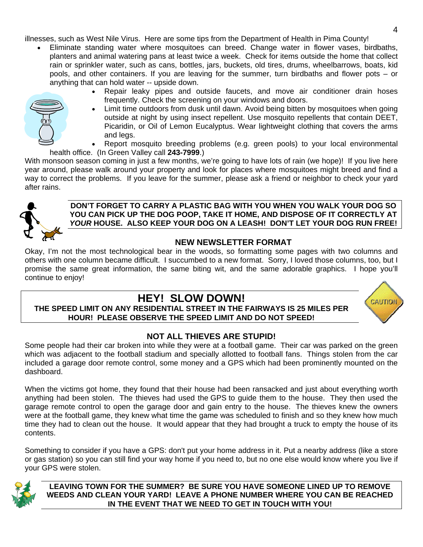illnesses, such as West Nile Virus. Here are some tips from the Department of Health in Pima County!

- Eliminate standing water where mosquitoes can breed. Change water in flower vases, birdbaths, planters and animal watering pans at least twice a week. Check for items outside the home that collect rain or sprinkler water, such as cans, bottles, jars, buckets, old tires, drums, wheelbarrows, boats, kid pools, and other containers. If you are leaving for the summer, turn birdbaths and flower pots – or anything that can hold water -- upside down.
	- Repair leaky pipes and outside faucets, and move air conditioner drain hoses frequently. Check the screening on your windows and doors.



- Limit time outdoors from dusk until dawn. Avoid being bitten by mosquitoes when going outside at night by using insect repellent. Use mosquito repellents that contain DEET, Picaridin, or Oil of Lemon Eucalyptus. Wear lightweight clothing that covers the arms and legs.
- Report mosquito breeding problems (e.g. green pools) to your local environmental health office. (In Green Valley call **243-7999**.)

With monsoon season coming in just a few months, we're going to have lots of rain (we hope)! If you live here year around, please walk around your property and look for places where mosquitoes might breed and find a way to correct the problems. If you leave for the summer, please ask a friend or neighbor to check your yard after rains.



#### **DON'T FORGET TO CARRY A PLASTIC BAG WITH YOU WHEN YOU WALK YOUR DOG SO YOU CAN PICK UP THE DOG POOP, TAKE IT HOME, AND DISPOSE OF IT CORRECTLY AT**  *YOUR* **HOUSE. ALSO KEEP YOUR DOG ON A LEASH! DON'T LET YOUR DOG RUN FREE!**

## **NEW NEWSLETTER FORMAT**

Okay, I'm not the most technological bear in the woods, so formatting some pages with two columns and others with one column became difficult. I succumbed to a new format. Sorry, I loved those columns, too, but I promise the same great information, the same biting wit, and the same adorable graphics. I hope you'll continue to enjoy!

# **HEY! SLOW DOWN!**

**THE SPEED LIMIT ON ANY RESIDENTIAL STREET IN THE FAIRWAYS IS 25 MILES PER HOUR! PLEASE OBSERVE THE SPEED LIMIT AND DO NOT SPEED!** 



## **NOT ALL THIEVES ARE STUPID!**

Some people had their car broken into while they were at a football game. Their car was parked on the green which was adjacent to the football stadium and specially allotted to football fans. Things stolen from the car included a garage door remote control, some money and a GPS which had been prominently mounted on the dashboard.

When the victims got home, they found that their house had been ransacked and just about everything worth anything had been stolen. The thieves had used the GPS to guide them to the house. They then used the garage remote control to open the garage door and gain entry to the house. The thieves knew the owners were at the football game, they knew what time the game was scheduled to finish and so they knew how much time they had to clean out the house. It would appear that they had brought a truck to empty the house of its contents.

Something to consider if you have a GPS: don't put your home address in it. Put a nearby address (like a store or gas station) so you can still find your way home if you need to, but no one else would know where you live if your GPS were stolen.



#### **LEAVING TOWN FOR THE SUMMER? BE SURE YOU HAVE SOMEONE LINED UP TO REMOVE WEEDS AND CLEAN YOUR YARD! LEAVE A PHONE NUMBER WHERE YOU CAN BE REACHED IN THE EVENT THAT WE NEED TO GET IN TOUCH WITH YOU!**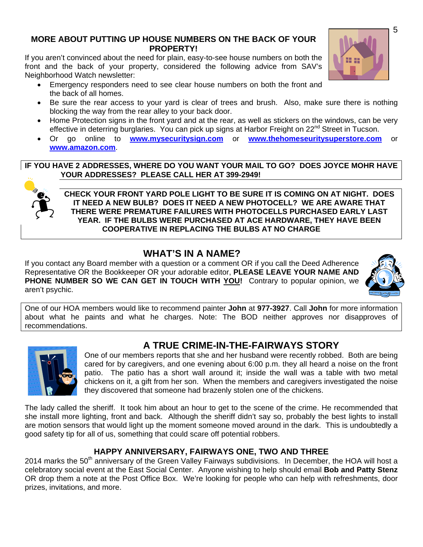### **MORE ABOUT PUTTING UP HOUSE NUMBERS ON THE BACK OF YOUR PROPERTY!**

If you aren't convinced about the need for plain, easy-to-see house numbers on both the front and the back of your property, considered the following advice from SAV's Neighborhood Watch newsletter:

- Emergency responders need to see clear house numbers on both the front and the back of all homes.
- Be sure the rear access to your yard is clear of trees and brush. Also, make sure there is nothing blocking the way from the rear alley to your back door.
- Home Protection signs in the front yard and at the rear, as well as stickers on the windows, can be very effective in deterring burglaries. You can pick up signs at Harbor Freight on 22<sup>nd</sup> Street in Tucson.
- Or go online to **www.mysecuritysign.com** or **www.thehomeseuritysuperstore.com** or **www.amazon.com**.

**IF YOU HAVE 2 ADDRESSES, WHERE DO YOU WANT YOUR MAIL TO GO? DOES JOYCE MOHR HAVE YOUR ADDRESSES? PLEASE CALL HER AT 399-2949!** 



**CHECK YOUR FRONT YARD POLE LIGHT TO BE SURE IT IS COMING ON AT NIGHT. DOES IT NEED A NEW BULB? DOES IT NEED A NEW PHOTOCELL? WE ARE AWARE THAT THERE WERE PREMATURE FAILURES WITH PHOTOCELLS PURCHASED EARLY LAST YEAR. IF THE BULBS WERE PURCHASED AT ACE HARDWARE, THEY HAVE BEEN COOPERATIVE IN REPLACING THE BULBS AT NO CHARGE** 

# **WHAT'S IN A NAME?**

If you contact any Board member with a question or a comment OR if you call the Deed Adherence Representative OR the Bookkeeper OR your adorable editor, **PLEASE LEAVE YOUR NAME AND PHONE NUMBER SO WE CAN GET IN TOUCH WITH YOU!** Contrary to popular opinion, we aren't psychic.



One of our HOA members would like to recommend painter **John** at **977-3927**. Call **John** for more information about what he paints and what he charges. Note: The BOD neither approves nor disapproves of recommendations.



# **A TRUE CRIME-IN-THE-FAIRWAYS STORY**

One of our members reports that she and her husband were recently robbed. Both are being cared for by caregivers, and one evening about 6:00 p.m. they all heard a noise on the front patio. The patio has a short wall around it; inside the wall was a table with two metal chickens on it, a gift from her son. When the members and caregivers investigated the noise they discovered that someone had brazenly stolen one of the chickens.

The lady called the sheriff. It took him about an hour to get to the scene of the crime. He recommended that she install more lighting, front and back. Although the sheriff didn't say so, probably the best lights to install are motion sensors that would light up the moment someone moved around in the dark. This is undoubtedly a good safety tip for all of us, something that could scare off potential robbers.

## **HAPPY ANNIVERSARY, FAIRWAYS ONE, TWO AND THREE**

2014 marks the 50<sup>th</sup> anniversary of the Green Valley Fairways subdivisions. In December, the HOA will host a celebratory social event at the East Social Center. Anyone wishing to help should email **Bob and Patty Stenz** OR drop them a note at the Post Office Box. We're looking for people who can help with refreshments, door prizes, invitations, and more.

5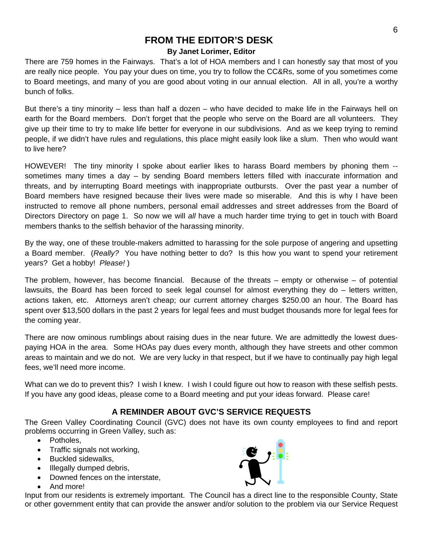## **FROM THE EDITOR'S DESK**

#### **By Janet Lorimer, Editor**

There are 759 homes in the Fairways. That's a lot of HOA members and I can honestly say that most of you are really nice people. You pay your dues on time, you try to follow the CC&Rs, some of you sometimes come to Board meetings, and many of you are good about voting in our annual election. All in all, you're a worthy bunch of folks.

But there's a tiny minority – less than half a dozen – who have decided to make life in the Fairways hell on earth for the Board members. Don't forget that the people who serve on the Board are all volunteers. They give up their time to try to make life better for everyone in our subdivisions. And as we keep trying to remind people, if we didn't have rules and regulations, this place might easily look like a slum. Then who would want to live here?

HOWEVER! The tiny minority I spoke about earlier likes to harass Board members by phoning them - sometimes many times a day – by sending Board members letters filled with inaccurate information and threats, and by interrupting Board meetings with inappropriate outbursts. Over the past year a number of Board members have resigned because their lives were made so miserable. And this is why I have been instructed to remove all phone numbers, personal email addresses and street addresses from the Board of Directors Directory on page 1. So now we will *all* have a much harder time trying to get in touch with Board members thanks to the selfish behavior of the harassing minority.

By the way, one of these trouble-makers admitted to harassing for the sole purpose of angering and upsetting a Board member. (*Really?* You have nothing better to do? Is this how you want to spend your retirement years? Get a hobby! *Please!* )

The problem, however, has become financial. Because of the threats – empty or otherwise – of potential lawsuits, the Board has been forced to seek legal counsel for almost everything they do – letters written, actions taken, etc. Attorneys aren't cheap; our current attorney charges \$250.00 an hour. The Board has spent over \$13,500 dollars in the past 2 years for legal fees and must budget thousands more for legal fees for the coming year.

There are now ominous rumblings about raising dues in the near future. We are admittedly the lowest duespaying HOA in the area. Some HOAs pay dues every month, although they have streets and other common areas to maintain and we do not. We are very lucky in that respect, but if we have to continually pay high legal fees, we'll need more income.

What can we do to prevent this? I wish I knew. I wish I could figure out how to reason with these selfish pests. If you have any good ideas, please come to a Board meeting and put your ideas forward. Please care!

## **A REMINDER ABOUT GVC'S SERVICE REQUESTS**

The Green Valley Coordinating Council (GVC) does not have its own county employees to find and report problems occurring in Green Valley, such as:

- Potholes,
- Traffic signals not working,
- Buckled sidewalks,
- Illegally dumped debris,
- Downed fences on the interstate,
- And more!

Input from our residents is extremely important. The Council has a direct line to the responsible County, State or other government entity that can provide the answer and/or solution to the problem via our Service Request

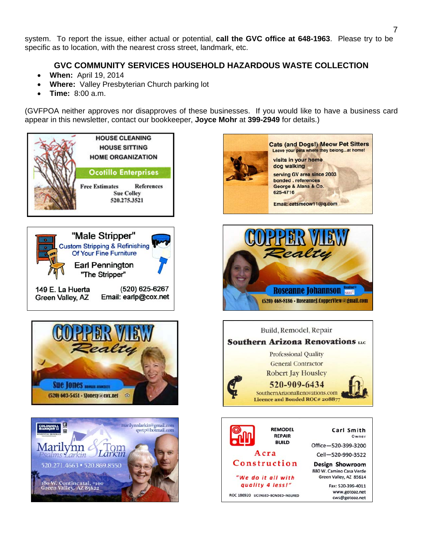system. To report the issue, either actual or potential, **call the GVC office at 648-1963**. Please try to be specific as to location, with the nearest cross street, landmark, etc.

### **GVC COMMUNITY SERVICES HOUSEHOLD HAZARDOUS WASTE COLLECTION**

- **When:** April 19, 2014
- **Where:** Valley Presbyterian Church parking lot
- **Time:** 8:00 a.m.

(GVFPOA neither approves nor disapproves of these businesses. If you would like to have a business card appear in this newsletter, contact our bookkeeper, **Joyce Mohr** at **399-2949** for details.)









**Roseanne Johannson** (520) 468-8186 · RoseanneJ.CopperView@gmail.com





Carl Smith Owner

Office-520-399-3200 Cell-520-990-3522

Design Showroom 880 W. Camino Casa Verde Green Valley, AZ 85614

> Fax: 520-399-4011 www.gotoaz.net cws@gotoaz.net